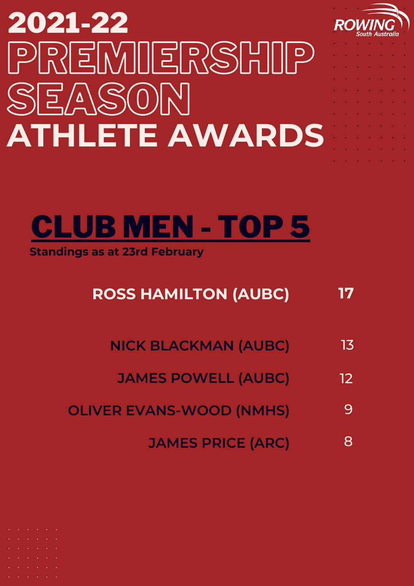

**Standings as at 23rd February**

#### **ROSS HAMILTON (AUBC) 17**

- **NICK BLACKMAN (AUBC)** 13
	- **JAMES POWELL (AUBC)** 12
- **OLIVER EVANS-WOOD (NMHS)** 9
	- **JAMES PRICE (ARC)** 8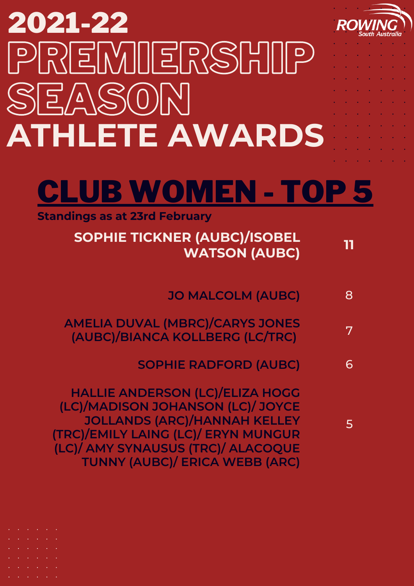### CLUB WOMEN - TOP 5

**Standings as at 23rd February**

| <b>SOPHIE TICKNER (AUBC)/ISOBEL</b><br><b>WATSON (AUBC)</b>                                                                                                                                                                                     |
|-------------------------------------------------------------------------------------------------------------------------------------------------------------------------------------------------------------------------------------------------|
| <b>JO MALCOLM (AUBC)</b>                                                                                                                                                                                                                        |
| <b>AMELIA DUVAL (MBRC)/CARYS JONES</b><br>(AUBC)/BIANCA KOLLBERG (LC/TRC)                                                                                                                                                                       |
| <b>SOPHIE RADFORD (AUBC)</b>                                                                                                                                                                                                                    |
| <b>HALLIE ANDERSON (LC)/ELIZA HOGG</b><br>(LC)/MADISON JOHANSON (LC)/ JOYCE<br><b>JOLLANDS (ARC)/HANNAH KELLEY</b><br><b>(TRC)/EMILY LAING (LC)/ ERYN MUNGUR</b><br>(LC)/ AMY SYNAUSUS (TRC)/ ALACOQUE<br><b>TUNNY (AUBC)/ ERICA WEBB (ARC)</b> |
|                                                                                                                                                                                                                                                 |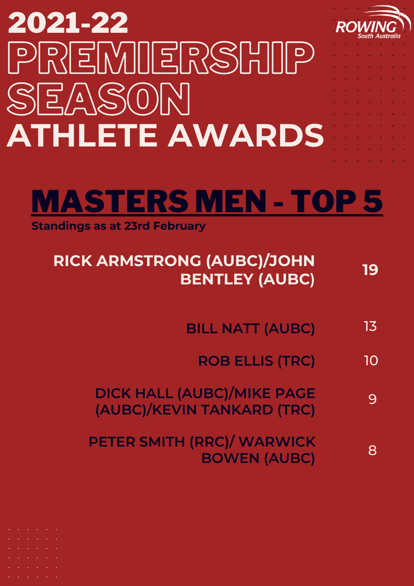### 2021-22 South Australia PREMIERSHIP SEASON **ATHLETE AWARDS**



**Standings as at 23rd February**

- **19 RICK ARMSTRONG (AUBC)/JOHN BENTLEY (AUBC)**
	- **BILL NATT (AUBC)** 13
		- **ROB ELLIS (TRC)** 10
	- **DICK HALL (AUBC)/MIKE PAGE (AUBC)/KEVIN TANKARD (TRC)** 9
	- **PETER SMITH (RRC)/ WARWICK BOWEN (AUBC)** 8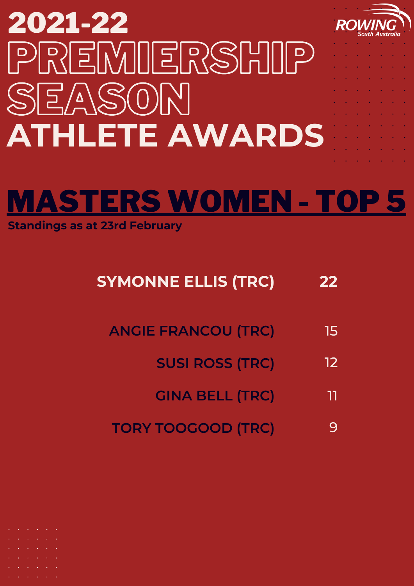### MASTERS WOMEN - TOP 5

**Standings as at 23rd February**

#### **SYMONNE ELLIS (TRC) 22**

- **ANGIE FRANCOU (TRC)** 15
	- **SUSI ROSS (TRC)** 12
	- **GINA BELL (TRC)** 11
- **TORY TOOGOOD (TRC)** 9

- - -
- 
-